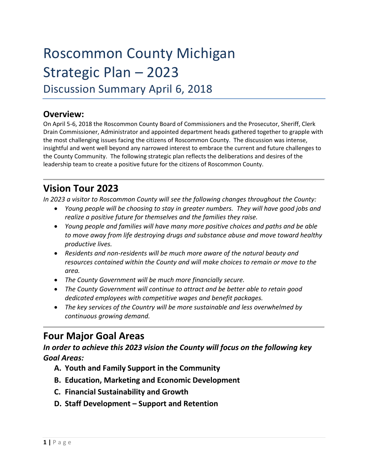# Roscommon County Michigan Strategic Plan – 2023

Discussion Summary April 6, 2018

# **Overview:**

On April 5-6, 2018 the Roscommon County Board of Commissioners and the Prosecutor, Sheriff, Clerk Drain Commissioner, Administrator and appointed department heads gathered together to grapple with the most challenging issues facing the citizens of Roscommon County. The discussion was intense, insightful and went well beyond any narrowed interest to embrace the current and future challenges to the County Community. The following strategic plan reflects the deliberations and desires of the leadership team to create a positive future for the citizens of Roscommon County.

# **Vision Tour 2023**

*In 2023 a visitor to Roscommon County will see the following changes throughout the County:*

- *Young people will be choosing to stay in greater numbers. They will have good jobs and realize a positive future for themselves and the families they raise.*
- *Young people and families will have many more positive choices and paths and be able to move away from life destroying drugs and substance abuse and move toward healthy productive lives.*
- *Residents and non-residents will be much more aware of the natural beauty and resources contained within the County and will make choices to remain or move to the area.*
- *The County Government will be much more financially secure.*
- *The County Government will continue to attract and be better able to retain good dedicated employees with competitive wages and benefit packages.*
- *The key services of the Country will be more sustainable and less overwhelmed by continuous growing demand.*

# **Four Major Goal Areas**

*In order to achieve this 2023 vision the County will focus on the following key Goal Areas:*

- **A. Youth and Family Support in the Community**
- **B. Education, Marketing and Economic Development**
- **C. Financial Sustainability and Growth**
- **D. Staff Development – Support and Retention**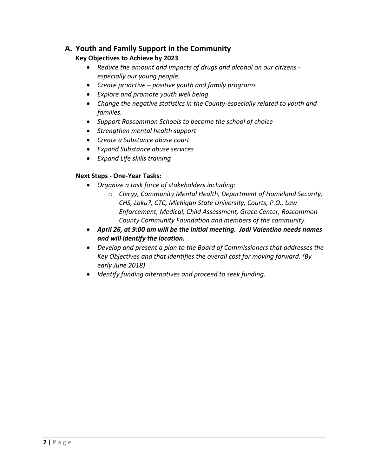# **A. Youth and Family Support in the Community**

#### **Key Objectives to Achieve by 2023**

- *Reduce the amount and impacts of drugs and alcohol on our citizens especially our young people.*
- *Create proactive – positive youth and family programs*
- *Explore and promote youth well being*
- *Change the negative statistics in the County-especially related to youth and families.*
- *Support Roscommon Schools to become the school of choice*
- *Strengthen mental health support*
- *Create a Substance abuse court*
- *Expand Substance abuse services*
- *Expand Life skills training*

#### **Next Steps - One-Year Tasks:**

- *Organize a task force of stakeholders including:*
	- o *Clergy, Community Mental Health, Department of Homeland Security, CHS, Laku?, CTC, Michigan State University, Courts, P.O., Law Enforcement, Medical, Child Assessment, Grace Center, Roscommon County Community Foundation and members of the community.*
- *April 26, at 9:00 am will be the initial meeting. Jodi Valentino needs names and will identify the location.*
- *Develop and present a plan to the Board of Commissioners that addresses the Key Objectives and that identifies the overall cost for moving forward. (By early June 2018)*
- *Identify funding alternatives and proceed to seek funding.*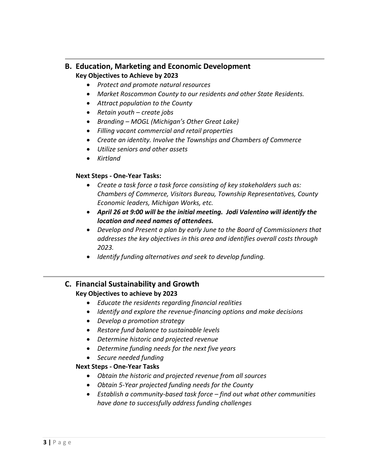#### **B. Education, Marketing and Economic Development Key Objectives to Achieve by 2023**

- *Protect and promote natural resources*
- *Market Roscommon County to our residents and other State Residents.*
- *Attract population to the County*
- *Retain youth – create jobs*
- *Branding – MOGL (Michigan's Other Great Lake)*
- *Filling vacant commercial and retail properties*
- *Create an identity. Involve the Townships and Chambers of Commerce*
- *Utilize seniors and other assets*
- *Kirtland*

#### **Next Steps - One-Year Tasks:**

- *Create a task force a task force consisting of key stakeholders such as: Chambers of Commerce, Visitors Bureau, Township Representatives, County Economic leaders, Michigan Works, etc.*
- *April 26 at 9:00 will be the initial meeting. Jodi Valentino will identify the location and need names of attendees.*
- *Develop and Present a plan by early June to the Board of Commissioners that addresses the key objectives in this area and identifies overall costs through 2023.*
- *Identify funding alternatives and seek to develop funding.*

#### **C. Financial Sustainability and Growth Key Objectives to achieve by 2023**

- *Educate the residents regarding financial realities*
- *Identify and explore the revenue-financing options and make decisions*
- *Develop a promotion strategy*
- *Restore fund balance to sustainable levels*
- *Determine historic and projected revenue*
- *Determine funding needs for the next five years*
- *Secure needed funding*

#### **Next Steps - One-Year Tasks**

- *Obtain the historic and projected revenue from all sources*
- *Obtain 5-Year projected funding needs for the County*
- *Establish a community-based task force – find out what other communities have done to successfully address funding challenges*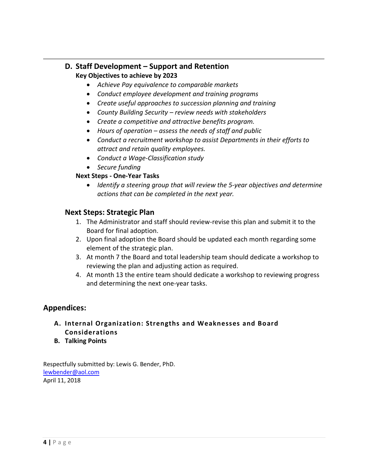## **D. Staff Development – Support and Retention Key Objectives to achieve by 2023**

- *Achieve Pay equivalence to comparable markets*
- *Conduct employee development and training programs*
- *Create useful approaches to succession planning and training*
- *County Building Security – review needs with stakeholders*
- *Create a competitive and attractive benefits program.*
- *Hours of operation – assess the needs of staff and public*
- *Conduct a recruitment workshop to assist Departments in their efforts to attract and retain quality employees.*
- *Conduct a Wage-Classification study*
- *Secure funding*

#### **Next Steps - One-Year Tasks**

• *Identify a steering group that will review the 5-year objectives and determine actions that can be completed in the next year.*

#### **Next Steps: Strategic Plan**

- 1. The Administrator and staff should review-revise this plan and submit it to the Board for final adoption.
- 2. Upon final adoption the Board should be updated each month regarding some element of the strategic plan.
- 3. At month 7 the Board and total leadership team should dedicate a workshop to reviewing the plan and adjusting action as required.
- 4. At month 13 the entire team should dedicate a workshop to reviewing progress and determining the next one-year tasks.

#### **Appendices:**

- **A. Internal Organization: Strengths and Weaknesses and Board Considerations**
- **B. Talking Points**

Respectfully submitted by: Lewis G. Bender, PhD. [lewbender@aol.com](mailto:lewbender@aol.com) April 11, 2018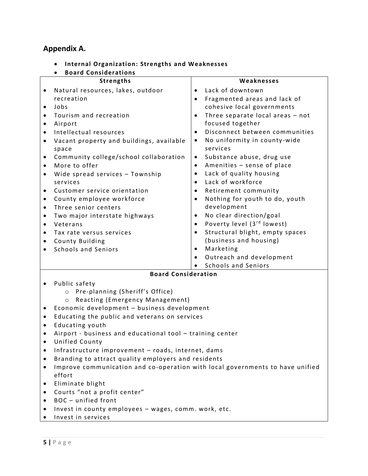#### **Appendix A.**

- **Internal Organization: Strengths and Weaknesses**
- **Board Considerations Strengths** • Natural resources, lakes, outdoor recreation • Jobs • Tourism and recreation • Airport • Intellectual resources • Vacant property and buildings, available space • Community college/school collaboration • More to offer • Wide spread services – Township services • Customer service orientation • County employee workforce • Three senior centers • Two major interstate highways • Veterans • Tax rate versus services • County Building • Schools and Seniors **Weaknesses** • Lack of downtown • Fragmented areas and lack of cohesive local governments • Three separate local areas – not focused together • Disconnect between communities No uniformity in county-wide services • Substance abuse, drug use • Amenities – sense of place • Lack of quality housing • Lack of workforce • Retirement community • Nothing for youth to do, youth development No clear direction/goal Poverty level (3<sup>rd</sup> lowest) • Structural blight, empty spaces (business and housing) • Marketing • Outreach and development • Schools and Seniors **Board Consideration** • Public safety o Pre-planning (Sheriff's Office)
- o Reacting (Emergency Management) • Economic development – business development
- Educating the public and veterans on services
- Educating youth
- Airport business and educational tool training center
- Unified County
- Infrastructure improvement roads, internet, dams
- Branding to attract quality employers and residents
- Improve communication and co-operation with local governments to have unified effort
- Eliminate blight
- Courts "not a profit center"
- BOC unified front
- Invest in county employees wages, comm. work, etc.
- Invest in services